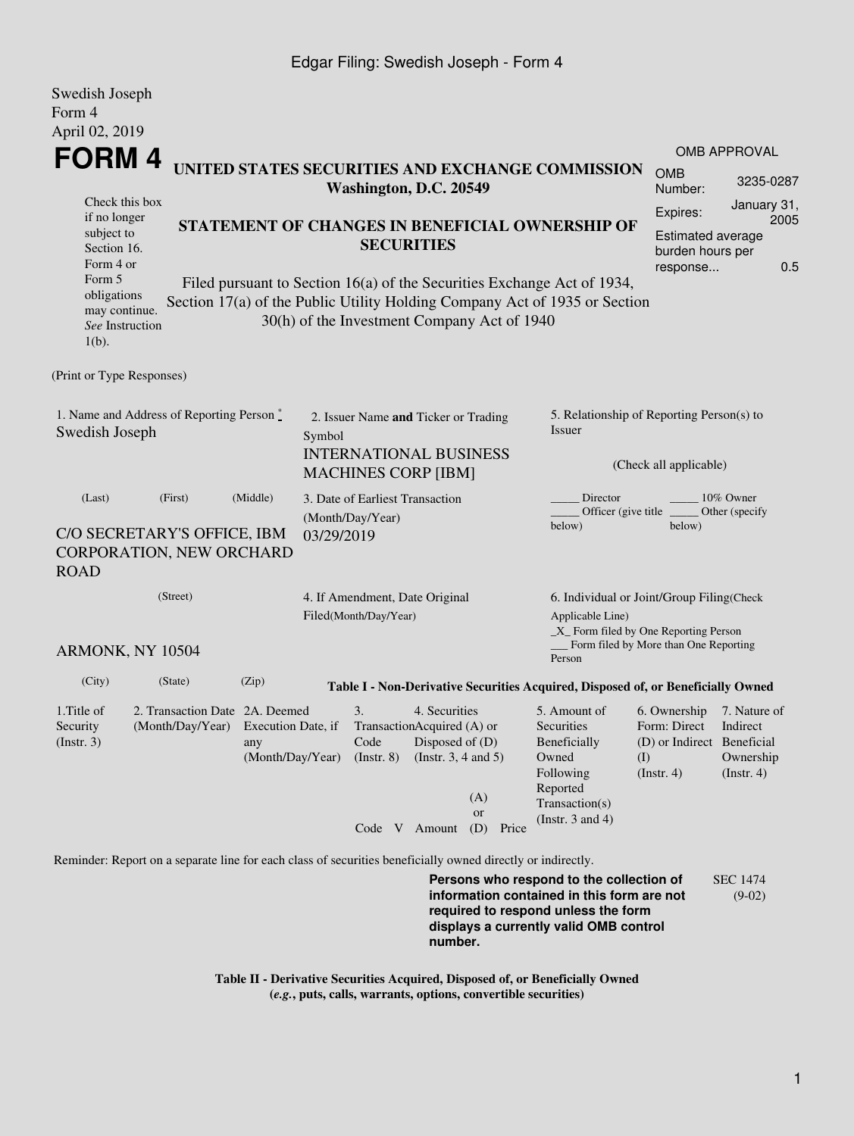## Edgar Filing: Swedish Joseph - Form 4

| Swedish Joseph<br>Form 4                                                                                                                                          |                                                                                                             |                                                                                                               |                                                         |                                                                                                                                                                                    |  |                               |                                                                               |                                                                                                                                                                                                                                                              |                                                                                                      |                                                                |  |  |
|-------------------------------------------------------------------------------------------------------------------------------------------------------------------|-------------------------------------------------------------------------------------------------------------|---------------------------------------------------------------------------------------------------------------|---------------------------------------------------------|------------------------------------------------------------------------------------------------------------------------------------------------------------------------------------|--|-------------------------------|-------------------------------------------------------------------------------|--------------------------------------------------------------------------------------------------------------------------------------------------------------------------------------------------------------------------------------------------------------|------------------------------------------------------------------------------------------------------|----------------------------------------------------------------|--|--|
| April 02, 2019<br>FORM 4<br>Check this box<br>if no longer<br>subject to<br>Section 16.<br>Form 4 or<br>Form 5<br>obligations<br>may continue.<br>See Instruction |                                                                                                             |                                                                                                               |                                                         | Washington, D.C. 20549<br><b>SECURITIES</b><br>30(h) of the Investment Company Act of 1940                                                                                         |  |                               |                                                                               | UNITED STATES SECURITIES AND EXCHANGE COMMISSION<br>STATEMENT OF CHANGES IN BENEFICIAL OWNERSHIP OF<br>Filed pursuant to Section 16(a) of the Securities Exchange Act of 1934,<br>Section 17(a) of the Public Utility Holding Company Act of 1935 or Section | <b>OMB</b><br>Number:<br>Expires:<br>Estimated average<br>burden hours per<br>response               | <b>OMB APPROVAL</b><br>3235-0287<br>January 31,<br>2005<br>0.5 |  |  |
| $1(b)$ .<br>(Print or Type Responses)                                                                                                                             |                                                                                                             |                                                                                                               |                                                         |                                                                                                                                                                                    |  |                               |                                                                               |                                                                                                                                                                                                                                                              |                                                                                                      |                                                                |  |  |
| 1. Name and Address of Reporting Person $\stackrel{*}{\text{-}}$<br>Swedish Joseph                                                                                |                                                                                                             | 2. Issuer Name and Ticker or Trading<br>Symbol<br><b>INTERNATIONAL BUSINESS</b><br><b>MACHINES CORP [IBM]</b> |                                                         |                                                                                                                                                                                    |  |                               | 5. Relationship of Reporting Person(s) to<br>Issuer<br>(Check all applicable) |                                                                                                                                                                                                                                                              |                                                                                                      |                                                                |  |  |
| (Last)<br><b>ROAD</b>                                                                                                                                             | (First)<br>C/O SECRETARY'S OFFICE, IBM<br>CORPORATION, NEW ORCHARD                                          | (Middle)                                                                                                      | 03/29/2019                                              | 3. Date of Earliest Transaction<br>(Month/Day/Year)                                                                                                                                |  |                               |                                                                               | Director<br>Officer (give title<br>below)                                                                                                                                                                                                                    | below)                                                                                               | 10% Owner<br>Other (specify                                    |  |  |
| (Street)<br>ARMONK, NY 10504                                                                                                                                      |                                                                                                             |                                                                                                               | 4. If Amendment, Date Original<br>Filed(Month/Day/Year) |                                                                                                                                                                                    |  |                               |                                                                               | 6. Individual or Joint/Group Filing(Check<br>Applicable Line)<br>_X_ Form filed by One Reporting Person<br>Form filed by More than One Reporting                                                                                                             |                                                                                                      |                                                                |  |  |
| (City)                                                                                                                                                            | (State)                                                                                                     | (Zip)                                                                                                         |                                                         |                                                                                                                                                                                    |  |                               |                                                                               | Person<br>Table I - Non-Derivative Securities Acquired, Disposed of, or Beneficially Owned                                                                                                                                                                   |                                                                                                      |                                                                |  |  |
| 1. Title of<br>Security<br>$($ Instr. 3 $)$                                                                                                                       | 2. Transaction Date 2A. Deemed                                                                              | any<br>(Month/Day/Year)                                                                                       |                                                         | 3.<br>4. Securities<br>(Month/Day/Year) Execution Date, if TransactionAcquired (A) or<br>Code<br>Disposed of $(D)$<br>(Instr. $3, 4$ and $5$ )<br>$($ Instr. $8)$<br>Code V Amount |  | (A)<br><b>or</b><br>(D) Price |                                                                               | 5. Amount of<br>Securities<br>Beneficially<br>Owned<br>Following<br>Reported<br>Transaction(s)<br>(Instr. $3$ and $4$ )                                                                                                                                      | 6. Ownership<br>Form: Direct Indirect<br>(D) or Indirect Beneficial<br>$\rm (I)$<br>$($ Instr. 4 $)$ | 7. Nature of<br>Ownership<br>$($ Instr. 4 $)$                  |  |  |
|                                                                                                                                                                   | Reminder: Report on a separate line for each class of securities beneficially owned directly or indirectly. |                                                                                                               |                                                         |                                                                                                                                                                                    |  |                               |                                                                               |                                                                                                                                                                                                                                                              |                                                                                                      |                                                                |  |  |

**Persons who respond to the collection of information contained in this form are not required to respond unless the form displays a currently valid OMB control number.** SEC 1474 (9-02)

**Table II - Derivative Securities Acquired, Disposed of, or Beneficially Owned (***e.g.***, puts, calls, warrants, options, convertible securities)**